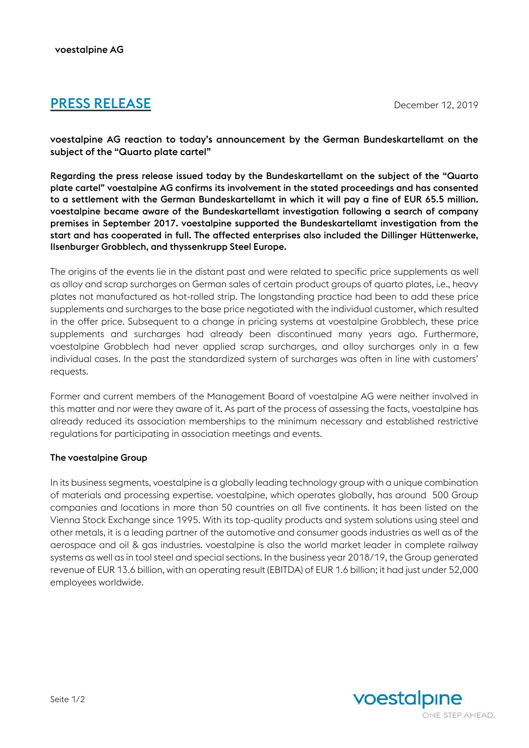## **PRESS RELEASE** December 12, 2019

voestalpine AG reaction to today's announcement by the German Bundeskartellamt on the subject of the "Quarto plate cartel"

Regarding the press release issued today by the Bundeskartellamt on the subject of the "Quarto plate cartel" voestalpine AG confirms its involvement in the stated proceedings and has consented to a settlement with the German Bundeskartellamt in which it will pay a fine of EUR 65.5 million. voestalpine became aware of the Bundeskartellamt investigation following a search of company premises in September 2017. voestalpine supported the Bundeskartellamt investigation from the start and has cooperated in full. The affected enterprises also included the Dillinger Hüttenwerke, Ilsenburger Grobblech, and thyssenkrupp Steel Europe.

The origins of the events lie in the distant past and were related to specific price supplements as well as alloy and scrap surcharges on German sales of certain product groups of quarto plates, i.e., heavy plates not manufactured as hot-rolled strip. The longstanding practice had been to add these price supplements and surcharges to the base price negotiated with the individual customer, which resulted in the offer price. Subsequent to a change in pricing systems at voestalpine Grobblech, these price supplements and surcharges had already been discontinued many years ago. Furthermore, voestalpine Grobblech had never applied scrap surcharges, and alloy surcharges only in a few individual cases. In the past the standardized system of surcharges was often in line with customers' requests.

Former and current members of the Management Board of voestalpine AG were neither involved in this matter and nor were they aware of it. As part of the process of assessing the facts, voestalpine has already reduced its association memberships to the minimum necessary and established restrictive regulations for participating in association meetings and events.

## The voestalpine Group

In its business segments, voestalpine is a globally leading technology group with a unique combination of materials and processing expertise. voestalpine, which operates globally, has around 500 Group companies and locations in more than 50 countries on all five continents. It has been listed on the Vienna Stock Exchange since 1995. With its top-quality products and system solutions using steel and other metals, it is a leading partner of the automotive and consumer goods industries as well as of the aerospace and oil & gas industries. voestalpine is also the world market leader in complete railway systems as well as in tool steel and special sections. In the business year 2018/19, the Group generated revenue of EUR 13.6 billion, with an operating result (EBITDA) of EUR 1.6 billion; it had just under 52,000 employees worldwide.